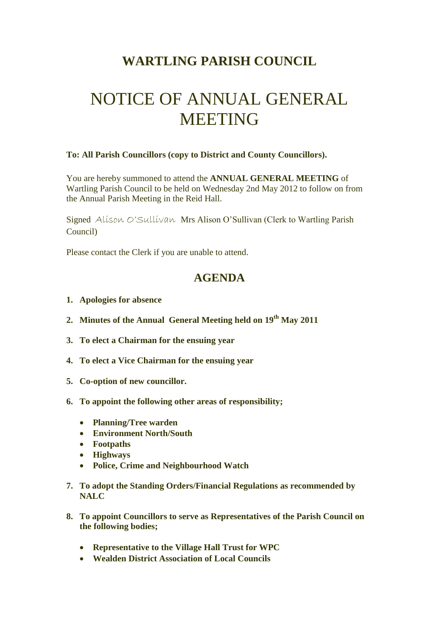## **WARTLING PARISH COUNCIL**

## NOTICE OF ANNUAL GENERAL MEETING

## **To: All Parish Councillors (copy to District and County Councillors).**

You are hereby summoned to attend the **ANNUAL GENERAL MEETING** of Wartling Parish Council to be held on Wednesday 2nd May 2012 to follow on from the Annual Parish Meeting in the Reid Hall.

Signed Alison O'Sullivan Mrs Alison O'Sullivan (Clerk to Wartling Parish Council)

Please contact the Clerk if you are unable to attend.

## **AGENDA**

- **1. Apologies for absence**
- **2. Minutes of the Annual General Meeting held on 19th May 2011**
- **3. To elect a Chairman for the ensuing year**
- **4. To elect a Vice Chairman for the ensuing year**
- **5. Co-option of new councillor.**
- **6. To appoint the following other areas of responsibility;**
	- **Planning/Tree warden**
	- **Environment North/South**
	- **Footpaths**
	- **Highways**
	- **Police, Crime and Neighbourhood Watch**
- **7. To adopt the Standing Orders/Financial Regulations as recommended by NALC**
- **8. To appoint Councillors to serve as Representatives of the Parish Council on the following bodies;**
	- **Representative to the Village Hall Trust for WPC**
	- **Wealden District Association of Local Councils**